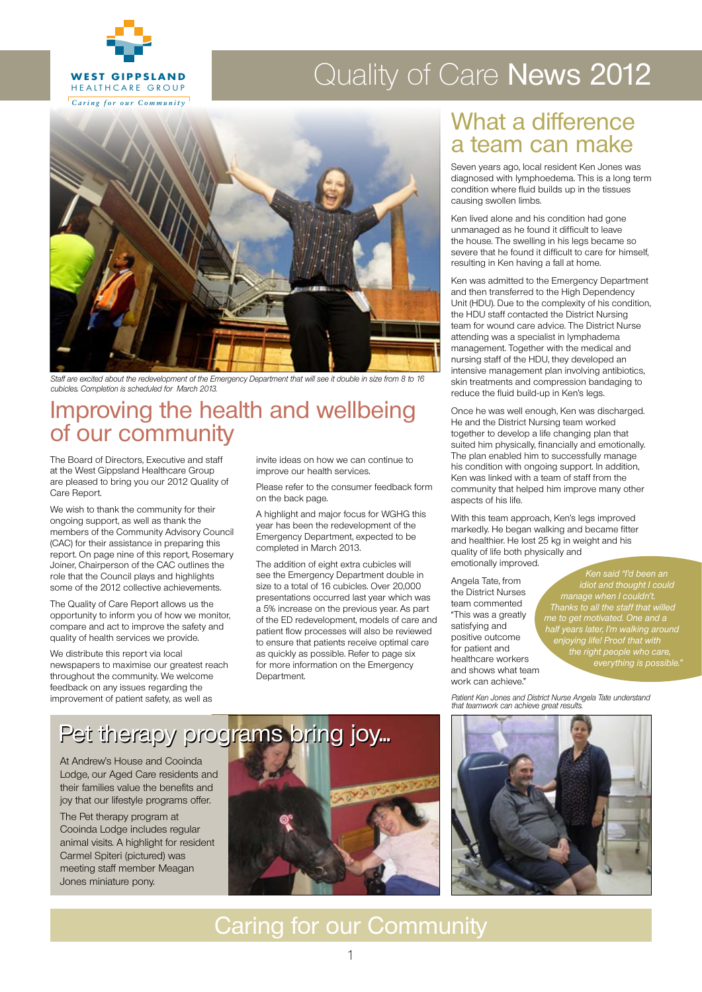

#### Quality of Care News 2012  $H = H \cup H$ **RAWSON COMMUNITY**  $\sim$   $\sim$   $\sim$   $\sim$   $\sim$

*Caring for our Community*



Staff are excited about the redevelopment of the Emergency Department that will see it double in size from 8 to 16 cubicles. Completion is scheduled for March 2013.

### Improving the health and wellbeing of our community

The Board of Directors, Executive and staff at the West Gippsland Healthcare Group are pleased to bring you our 2012 Quality of Care Report.

We wish to thank the community for their ongoing support, as well as thank the members of the Community Advisory Council (CAC) for their assistance in preparing this report. On page nine of this report, Rosemary Joiner, Chairperson of the CAC outlines the role that the Council plays and highlights some of the 2012 collective achievements.

The Quality of Care Report allows us the opportunity to inform you of how we monitor, compare and act to improve the safety and quality of health services we provide.

We distribute this report via local newspapers to maximise our greatest reach throughout the community. We welcome feedback on any issues regarding the improvement of patient safety, as well as

invite ideas on how we can continue to improve our health services.

Please refer to the consumer feedback form on the back page.

A highlight and major focus for WGHG this year has been the redevelopment of the Emergency Department, expected to be completed in March 2013.

The addition of eight extra cubicles will see the Emergency Department double in size to a total of 16 cubicles. Over 20,000 presentations occurred last year which was a 5% increase on the previous year. As part of the ED redevelopment, models of care and patient flow processes will also be reviewed to ensure that patients receive optimal care as quickly as possible. Refer to page six for more information on the Emergency Department.

### What a difference a team can make

*West Gippsland Healthcare Group*

**WEST GIPPS GIPPS GIPPS GIPPS CONDITION** CONDITION Where fluid builds up in the tissues Seven years ago, local resident Ken Jones was diagnosed with lymphoedema. This is a long term causing swollen limbs.

**WEST GIPPS GIPPS GIPPS GIPPS** during and as he found it difficult to leave Ken lived alone and his condition had gone the house. The swelling in his legs became so severe that he found it difficult to care for himself, resulting in Ken having a fall at home.

**WEST GIPPS AND THE GIPPS CONDUCTS**<br>and then transferred to the High Dependency **WEST GIPPSLAND** attending was a specialist in lymphadema Ken was admitted to the Emergency Department Unit (HDU). Due to the complexity of his condition, the HDU staff contacted the District Nursing team for wound care advice. The District Nurse management. Together with the medical and nursing staff of the HDU, they developed an intensive management plan involving antibiotics, skin treatments and compression bandaging to reduce the fluid build-up in Ken's legs.

> Once he was well enough, Ken was discharged. He and the District Nursing team worked together to develop a life changing plan that suited him physically, financially and emotionally. The plan enabled him to successfully manage his condition with ongoing support. In addition, Ken was linked with a team of staff from the community that helped him improve many other aspects of his life.

With this team approach, Ken's legs improved markedly. He began walking and became fitter and healthier. He lost 25 kg in weight and his quality of life both physically and emotionally improved.

Angela Tate, from the District Nurses team commented "This was a greatly satisfying and positive outcome for patient and healthcare workers and shows what team work can achieve."

 Ken said "I'd been an idiot and thought I could manage when I couldn't. Thanks to all the staff that willed me to get motivated. One and a half years later, I'm walking around enjoying life! Proof that with the right people who care, everything is possible."

Patient Ken Jones and District Nurse Angela Tate understand that teamwork can achieve great results.

## Pet therapy programs bring joy...

At Andrew's House and Cooinda Lodge, our Aged Care residents and their families value the benefits and joy that our lifestyle programs offer.

The Pet therapy program at Cooinda Lodge includes regular animal visits. A highlight for resident Carmel Spiteri (pictured) was meeting staff member Meagan Jones miniature pony.





## Caring for our Community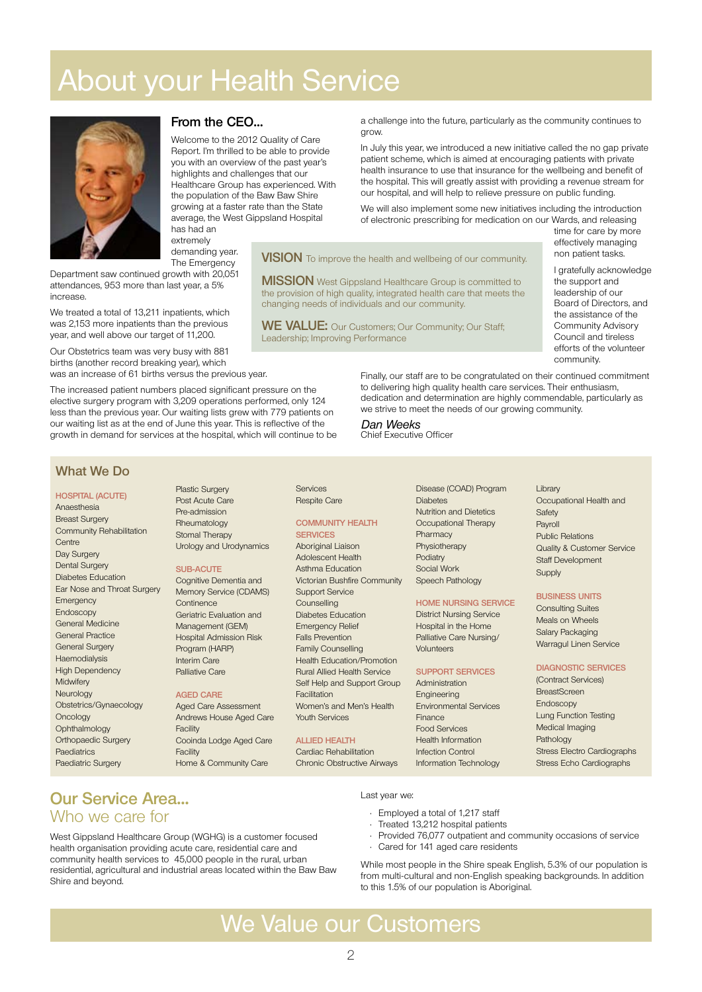# **About your Health Service**



increase

#### **From the CEO…**

Welcome to the 2012 Quality of Care Report. I'm thrilled to be able to provide you with an overview of the past year's highlights and challenges that our Healthcare Group has experienced. With the population of the Baw Baw Shire growing at a faster rate than the State average, the West Gippsland Hospital has had an

a challenge into the future, particularly as the community continues to grow.

In July this year, we introduced a new initiative called the no gap private patient scheme, which is aimed at encouraging patients with private health insurance to use that insurance for the wellbeing and benefit of the hospital. This will greatly assist with providing a revenue stream for our hospital, and will help to relieve pressure on public funding.

We will also implement some new initiatives including the introduction of electronic prescribing for medication on our Wards, and releasing

**VISION** To improve the health and wellbeing of our community.

**MISSION** West Gippsland Healthcare Group is committed to the provision of high quality, integrated health care that meets the changing needs of individuals and our community.

**WE VALUE:** Our Customers; Our Community; Our Staff; Leadership; Improving Performance

effectively managing non patient tasks. I gratefully acknowledge the support and

time for care by more

leadership of our Board of Directors, and the assistance of the Community Advisory Council and tireless efforts of the volunteer community.

The increased patient numbers placed significant pressure on the elective surgery program with 3,209 operations performed, only 124 less than the previous year. Our waiting lists grew with 779 patients on our waiting list as at the end of June this year. This is reflective of the growth in demand for services at the hospital, which will continue to be

extremely demanding year. The Emergency

Department saw continued growth with 20,051 attendances, 953 more than last year, a 5%

We treated a total of 13,211 inpatients, which was 2,153 more inpatients than the previous year, and well above our target of 11,200. Our Obstetrics team was very busy with 881 births (another record breaking year), which was an increase of 61 births versus the previous year.

Finally, our staff are to be congratulated on their continued commitment to delivering high quality health care services. Their enthusiasm, dedication and determination are highly commendable, particularly as we strive to meet the needs of our growing community.

Dan Weeks Chief Executive Officer

#### **What We Do**

#### **Hospital (acute)** Anaesthesia Breast Surgery Community Rehabilitation **Centre** Day Surgery Dental Surgery Diabetes Education Ear Nose and Throat Surgery **Emergency** Endoscopy General Medicine General Practice General Surgery Haemodialysis High Dependency **Midwifery** Neurology Obstetrics/Gynaecology **Oncology Ophthalmology** Orthopaedic Surgery Paediatrics Paediatric Surgery

Plastic Surgery Post Acute Care Pre-admission Rheumatology Stomal Therapy Urology and Urodynamics

#### **Sub-acute**

Cognitive Dementia and Memory Service (CDAMS) **Continence** Geriatric Evaluation and Management (GEM) Hospital Admission Risk Program (HARP) Interim Care Palliative Care

#### **Aged Care**

Aged Care Assessment Andrews House Aged Care Facility Cooinda Lodge Aged Care Facility Home & Community Care

Services Respite Care

#### **Community Health Services**

Aboriginal Liaison Adolescent Health Asthma Education Victorian Bushfire Community Support Service Counselling Diabetes Education Emergency Relief Falls Prevention Family Counselling Health Education/Promotion Rural Allied Health Service Self Help and Support Group Facilitation Women's and Men's Health Youth Services

#### **Allied Health**

Cardiac Rehabilitation Chronic Obstructive Airways

Disease (COAD) Program **Diabetes** Nutrition and Dietetics Occupational Therapy **Pharmacy** Physiotherapy **Podiatry** Social Work Speech Pathology

#### **Home Nursing Service**

District Nursing Service Hospital in the Home Palliative Care Nursing/ Volunteers

#### **Support Services**

Administration Engineering Environmental Services Finance Food Services Health Information Infection Control Information Technology Library Occupational Health and Safety Payroll Public Relations Quality & Customer Service Staff Development Supply

#### **Business Units**

Consulting Suites Meals on Wheels Salary Packaging Warragul Linen Service

#### **Diagnostic Services**

(Contract Services) BreastScreen Endoscopy Lung Function Testing Medical Imaging Pathology Stress Electro Cardiographs Stress Echo Cardiographs

#### **Our Service Area…**  Who we care for

West Gippsland Healthcare Group (WGHG) is a customer focused health organisation providing acute care, residential care and community health services to 45,000 people in the rural, urban residential, agricultural and industrial areas located within the Baw Baw Shire and beyond.

#### Last year we:

- Employed a total of 1,217 staff
- Treated 13,212 hospital patients
- • Provided 76,077 outpatient and community occasions of service Cared for 141 aged care residents

While most people in the Shire speak English, 5.3% of our population is from multi-cultural and non-English speaking backgrounds. In addition to this 1.5% of our population is Aboriginal.

### We Value our Customers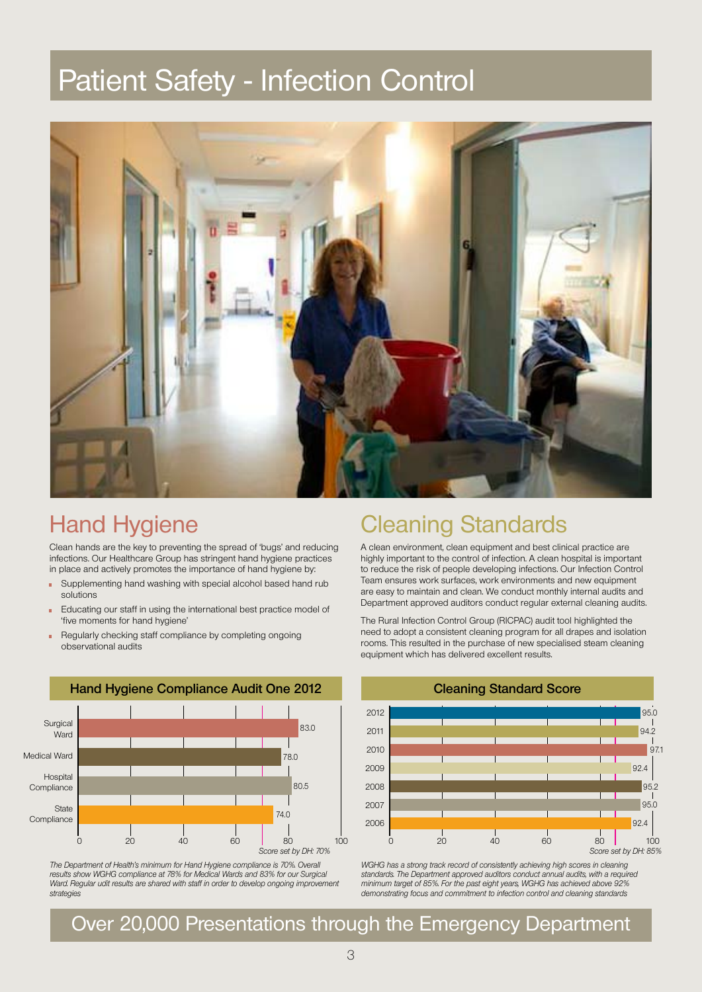# Patient Safety - Infection Control



### Hand Hygiene

Clean hands are the key to preventing the spread of 'bugs' and reducing infections. Our Healthcare Group has stringent hand hygiene practices in place and actively promotes the importance of hand hygiene by:

- Supplementing hand washing with special alcohol based hand rub solutions
- Educating our staff in using the international best practice model of 'five moments for hand hygiene'
- Regularly checking staff compliance by completing ongoing observational audits



The Department of Health's minimum for Hand Hygiene compliance is 70%. Overall results show WGHG compliance at 78% for Medical Wards and 83% for our Surgical Ward. Regular udit results are shared with staff in order to develop ongoing improvement strategies

## Cleaning Standards

A clean environment, clean equipment and best clinical practice are highly important to the control of infection. A clean hospital is important to reduce the risk of people developing infections. Our Infection Control Team ensures work surfaces, work environments and new equipment are easy to maintain and clean. We conduct monthly internal audits and Department approved auditors conduct regular external cleaning audits.

The Rural Infection Control Group (RICPAC) audit tool highlighted the need to adopt a consistent cleaning program for all drapes and isolation rooms. This resulted in the purchase of new specialised steam cleaning equipment which has delivered excellent results.



WGHG has a strong track record of consistently achieving high scores in cleaning standards. The Department approved auditors conduct annual audits, with a required minimum target of 85%. For the past eight years, WGHG has achieved above 92% demonstrating focus and commitment to infection control and cleaning standards

Over 20,000 Presentations through the Emergency Department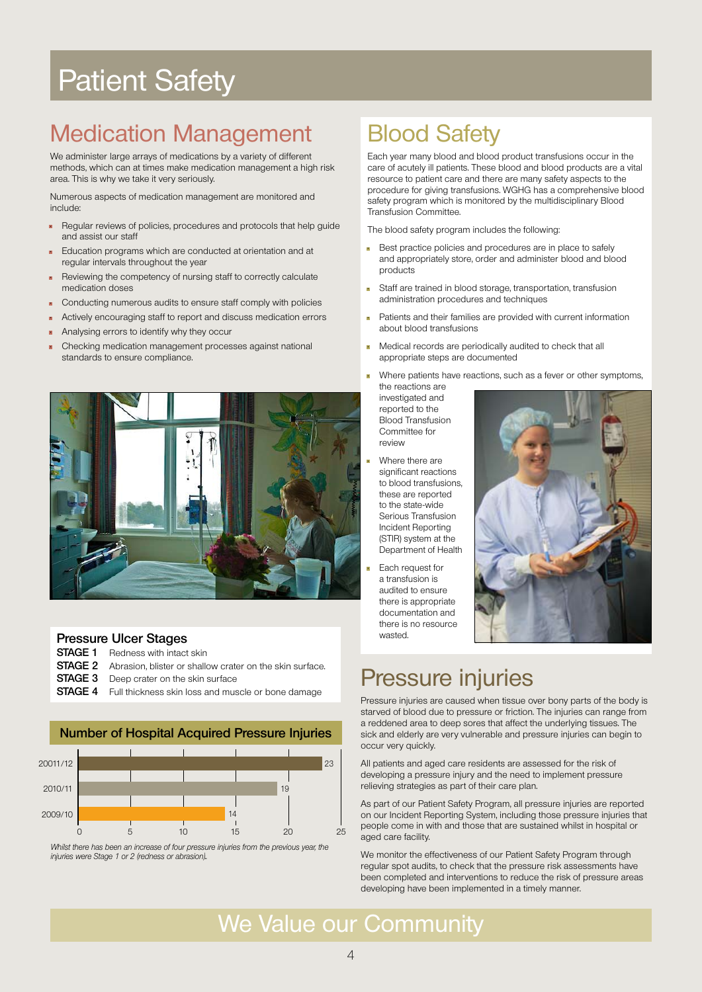# Patient Safety

## Medication Management

We administer large arrays of medications by a variety of different methods, which can at times make medication management a high risk area. This is why we take it very seriously.

Numerous aspects of medication management are monitored and include:

- Regular reviews of policies, procedures and protocols that help guide and assist our staff
- Education programs which are conducted at orientation and at regular intervals throughout the year
- Reviewing the competency of nursing staff to correctly calculate medication doses
- Conducting numerous audits to ensure staff comply with policies
- Actively encouraging staff to report and discuss medication errors
- Analysing errors to identify why they occur
- Checking medication management processes against national standards to ensure compliance.



#### **Pressure Ulcer Stages**

**STAGE 1** Redness with intact skin

- **STAGE 2** Abrasion, blister or shallow crater on the skin surface.
- **STAGE 3** Deep crater on the skin surface
- **STAGE 4** Full thickness skin loss and muscle or bone damage



**Number of Hospital Acquired Pressure Injuries**

Whilst there has been an increase of four pressure injuries from the previous year, the injuries were Stage 1 or 2 (redness or abrasion).

## Blood Safety

Each year many blood and blood product transfusions occur in the care of acutely ill patients. These blood and blood products are a vital resource to patient care and there are many safety aspects to the procedure for giving transfusions. WGHG has a comprehensive blood safety program which is monitored by the multidisciplinary Blood Transfusion Committee.

The blood safety program includes the following:

- Best practice policies and procedures are in place to safely and appropriately store, order and administer blood and blood products
- Staff are trained in blood storage, transportation, transfusion administration procedures and techniques
- Patients and their families are provided with current information about blood transfusions
- Medical records are periodically audited to check that all appropriate steps are documented

• Where patients have reactions, such as a fever or other symptoms, the reactions are

investigated and reported to the Blood Transfusion Committee for review

- Where there are significant reactions to blood transfusions, these are reported to the state-wide Serious Transfusion Incident Reporting (STIR) system at the Department of Health
- Each request for a transfusion is audited to ensure there is appropriate documentation and there is no resource wasted



## Pressure injuries

Pressure injuries are caused when tissue over bony parts of the body is starved of blood due to pressure or friction. The injuries can range from a reddened area to deep sores that affect the underlying tissues. The sick and elderly are very vulnerable and pressure injuries can begin to occur very quickly.

All patients and aged care residents are assessed for the risk of developing a pressure injury and the need to implement pressure relieving strategies as part of their care plan.

As part of our Patient Safety Program, all pressure injuries are reported on our Incident Reporting System, including those pressure injuries that people come in with and those that are sustained whilst in hospital or aged care facility.

We monitor the effectiveness of our Patient Safety Program through regular spot audits, to check that the pressure risk assessments have been completed and interventions to reduce the risk of pressure areas developing have been implemented in a timely manner.

## We Value our Community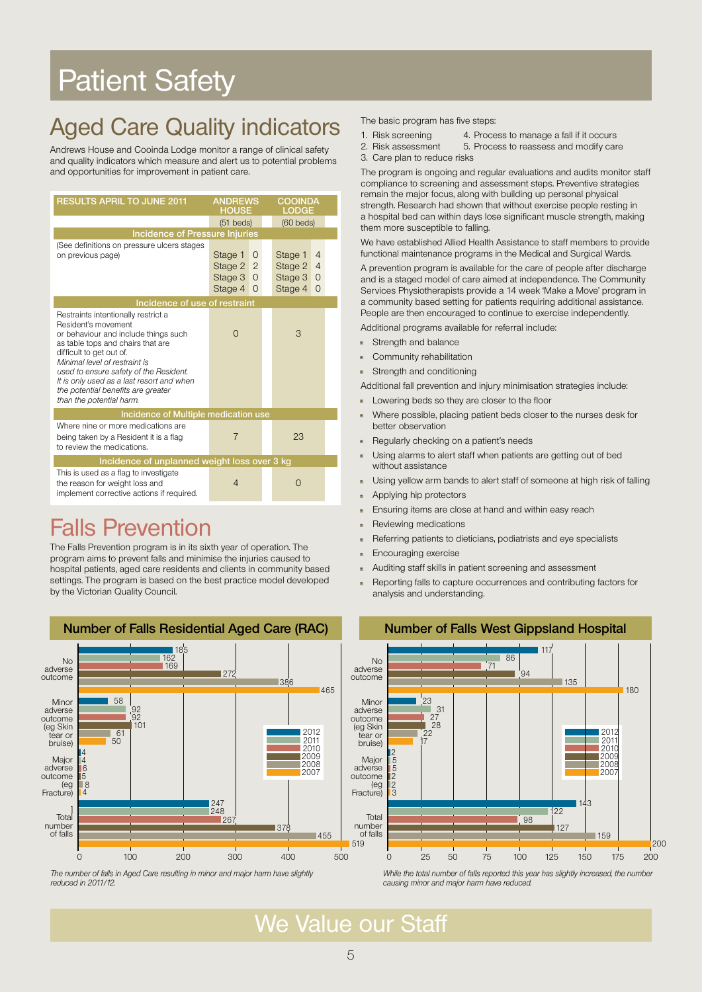# Patient Safety

## Aged Care Quality indicators

Andrews House and Cooinda Lodge monitor a range of clinical safety and quality indicators which measure and alert us to potential problems and opportunities for improvement in patient care.

| <b>RESULTS APRIL TO JUNE 2011</b>                                                                                                                                                                                                                                                                                                                             | <b>ANDREWS</b><br><b>HOUSE</b>                                                          |  | <b>COOINDA</b><br>LODGE                  |                                             |  |  |
|---------------------------------------------------------------------------------------------------------------------------------------------------------------------------------------------------------------------------------------------------------------------------------------------------------------------------------------------------------------|-----------------------------------------------------------------------------------------|--|------------------------------------------|---------------------------------------------|--|--|
|                                                                                                                                                                                                                                                                                                                                                               | $(51$ beds)                                                                             |  | $(60$ beds)                              |                                             |  |  |
| <b>Incidence of Pressure Injuries</b>                                                                                                                                                                                                                                                                                                                         |                                                                                         |  |                                          |                                             |  |  |
| (See definitions on pressure ulcers stages<br>on previous page)                                                                                                                                                                                                                                                                                               | Stage 1<br>0<br>$\overline{2}$<br>Stage 2<br>Stage 3<br>$\Omega$<br>Stage 4<br>$\Omega$ |  | Stage 1<br>Stage 2<br>Stage 3<br>Stage 4 | 4<br>$\overline{4}$<br>$\Omega$<br>$\Omega$ |  |  |
| Incidence of use of restraint                                                                                                                                                                                                                                                                                                                                 |                                                                                         |  |                                          |                                             |  |  |
| Restraints intentionally restrict a<br>Resident's movement<br>or behaviour and include things such<br>as table tops and chairs that are<br>difficult to get out of.<br>Minimal level of restraint is<br>used to ensure safety of the Resident.<br>It is only used as a last resort and when<br>the potential benefits are greater<br>than the potential harm. | O                                                                                       |  | 3                                        |                                             |  |  |
| Incidence of Multiple medication use                                                                                                                                                                                                                                                                                                                          |                                                                                         |  |                                          |                                             |  |  |
| Where nine or more medications are<br>being taken by a Resident it is a flag<br>to review the medications.                                                                                                                                                                                                                                                    | $\overline{7}$                                                                          |  | 23                                       |                                             |  |  |
| Incidence of unplanned weight loss over 3 kg                                                                                                                                                                                                                                                                                                                  |                                                                                         |  |                                          |                                             |  |  |
| This is used as a flag to investigate<br>the reason for weight loss and<br>implement corrective actions if required.                                                                                                                                                                                                                                          | $\overline{4}$<br>$\bigcap$                                                             |  |                                          |                                             |  |  |

## Falls Prevention

The Falls Prevention program is in its sixth year of operation. The program aims to prevent falls and minimise the injuries caused to hospital patients, aged care residents and clients in community based settings. The program is based on the best practice model developed by the Victorian Quality Council.



The number of falls in Aged Care resulting in minor and major harm have slightly reduced in 2011/12.

The basic program has five steps:

- 1. Risk screening 4. Process to manage a fall if it occurs
- 2. Risk assessment 5. Process to reassess and modify care
- 3. Care plan to reduce risks

The program is ongoing and regular evaluations and audits monitor staff compliance to screening and assessment steps. Preventive strategies remain the major focus, along with building up personal physical strength. Research had shown that without exercise people resting in a hospital bed can within days lose significant muscle strength, making them more susceptible to falling.

We have established Allied Health Assistance to staff members to provide functional maintenance programs in the Medical and Surgical Wards.

A prevention program is available for the care of people after discharge and is a staged model of care aimed at independence. The Community Services Physiotherapists provide a 14 week 'Make a Move' program in a community based setting for patients requiring additional assistance. People are then encouraged to continue to exercise independently.

Additional programs available for referral include:

- Strength and balance
- Community rehabilitation

Strength and conditioning

Additional fall prevention and injury minimisation strategies include:

- Lowering beds so they are closer to the floor
- Where possible, placing patient beds closer to the nurses desk for better observation
- Regularly checking on a patient's needs
- Using alarms to alert staff when patients are getting out of bed without assistance
- Using yellow arm bands to alert staff of someone at high risk of falling
- Applying hip protectors
- Ensuring items are close at hand and within easy reach
- Reviewing medications
- Referring patients to dieticians, podiatrists and eye specialists
- Encouraging exercise
- Auditing staff skills in patient screening and assessment
- Reporting falls to capture occurrences and contributing factors for analysis and understanding.



While the total number of falls reported this year has slightly increased, the number causing minor and major harm have reduced.

We Value our Staff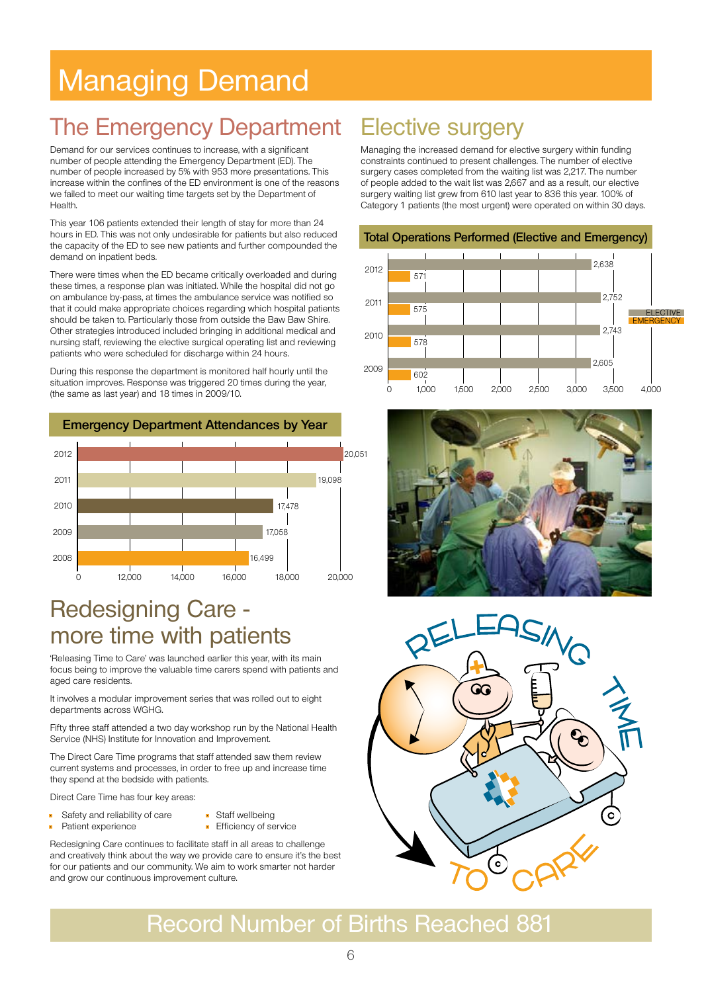# Managing Demand

## The Emergency Department Elective surgery

Demand for our services continues to increase, with a significant number of people attending the Emergency Department (ED). The number of people increased by 5% with 953 more presentations. This increase within the confines of the ED environment is one of the reasons we failed to meet our waiting time targets set by the Department of Health.

This year 106 patients extended their length of stay for more than 24 hours in ED. This was not only undesirable for patients but also reduced the capacity of the ED to see new patients and further compounded the demand on inpatient beds.

There were times when the ED became critically overloaded and during these times, a response plan was initiated. While the hospital did not go on ambulance by-pass, at times the ambulance service was notified so that it could make appropriate choices regarding which hospital patients should be taken to. Particularly those from outside the Baw Baw Shire. Other strategies introduced included bringing in additional medical and nursing staff, reviewing the elective surgical operating list and reviewing patients who were scheduled for discharge within 24 hours.

During this response the department is monitored half hourly until the situation improves. Response was triggered 20 times during the year, (the same as last year) and 18 times in 2009/10.



### Redesigning Care more time with patients

'Releasing Time to Care' was launched earlier this year, with its main focus being to improve the valuable time carers spend with patients and aged care residents.

It involves a modular improvement series that was rolled out to eight departments across WGHG.

Fifty three staff attended a two day workshop run by the National Health Service (NHS) Institute for Innovation and Improvement.

The Direct Care Time programs that staff attended saw them review current systems and processes, in order to free up and increase time they spend at the bedside with patients.

Direct Care Time has four key areas:

- Safety and reliability of care Staff wellbeing
	- Patient experience Filiciency of service

Redesigning Care continues to facilitate staff in all areas to challenge and creatively think about the way we provide care to ensure it's the best for our patients and our community. We aim to work smarter not harder and grow our continuous improvement culture.

Managing the increased demand for elective surgery within funding constraints continued to present challenges. The number of elective surgery cases completed from the waiting list was 2,217. The number of people added to the wait list was 2,667 and as a result, our elective surgery waiting list grew from 610 last year to 836 this year. 100% of Category 1 patients (the most urgent) were operated on within 30 days.







## Record Number of Births Reached 881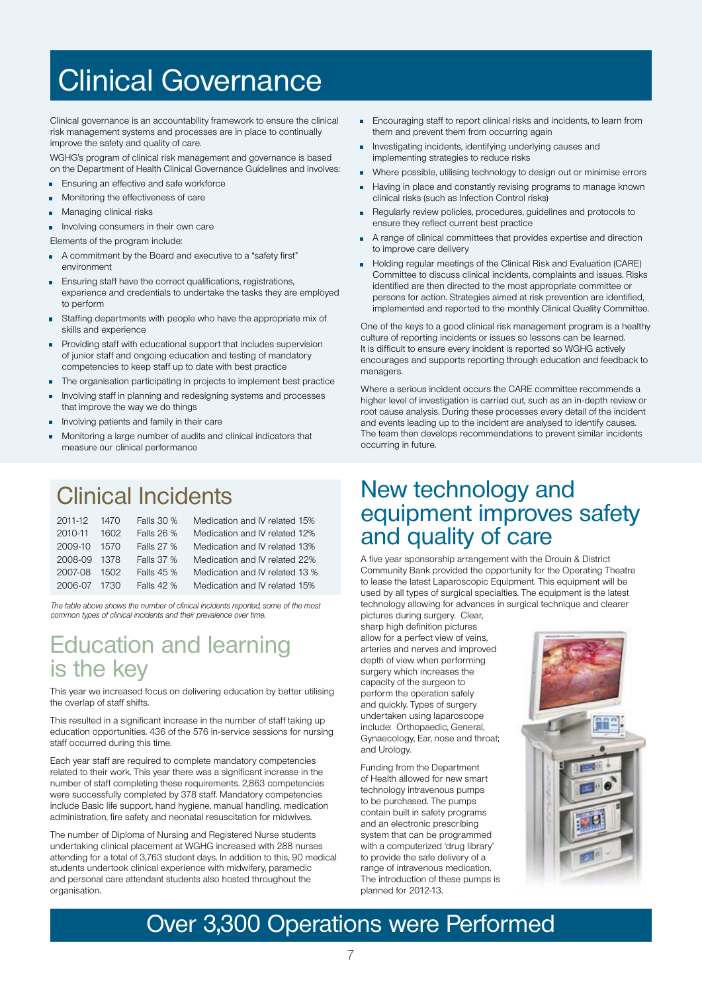# Clinical Governance

Clinical governance is an accountability framework to ensure the clinical risk management systems and processes are in place to continually improve the safety and quality of care.

WGHG's program of clinical risk management and governance is based on the Department of Health Clinical Governance Guidelines and involves: ement and governance is based<br>vernance Guidelines and involves:

- **•** Ensuring an effective and safe workforce
- Monitoring the effectiveness of care
- Managing clinical risks

**•** Involving consumers in their own care

- Elements of the program include:
- Elements of the program include:<br>• A commitment by the Board and executive to a "safety first" environment
- Ensuring staff have the correct qualifications, registrations, experience and credentials to undertake the tasks they are employed to perform ications, registrations,<br>take the tasks they are emplo
- Staffing departments with people who have the appropriate mix of skills and experience
- Providing staff with educational support that includes supervision of junior staff and ongoing education and testing of mandatory competencies to keep staff up to date with best practice
- The organisation participating in projects to implement best practice
- Involving staff in planning and redesigning systems and processes that improve the way we do things
- Involving patients and family in their care
- Monitoring a large number of audits and clinical indicators that measure our clinical performance

## Clinical Incidents

| 2011-12      | 1470 | Falls 30 % | Medication and IV related 15%  |   |
|--------------|------|------------|--------------------------------|---|
| 2010-11      | 1602 | Falls 26 % | Medication and IV related 12%  |   |
| 2009-10      | 1570 | Falls 27 % | Medication and IV related 13%  |   |
| 2008-09 1378 |      | Falls 37 % | Medication and IV related 22%  |   |
| 2007-08      | 1502 | Falls 45 % | Medication and IV related 13 % |   |
| 2006-07      | 1730 | Falls 42 % | Medication and IV related 15%  | t |

The table above shows the number of clinical incidents reported, some of the most common types of clinical incidents and their prevalence over time. The market support and their prevalence over time.

### Education and learning is the key

This year we increased focus on delivering education by better utilising the overlap of staff shifts.

This resulted in a significant increase in the number of staff taking up education opportunities. 436 of the 576 in-service sessions for nursing staff occurred during this time.

Each year staff are required to complete mandatory competencies related to their work. This year there was a significant increase in the number of staff completing these requirements. 2,863 competencies were successfully completed by 378 staff. Mandatory competencies include Basic life support, hand hygiene, manual handling, medication administration, fire safety and neonatal resuscitation for midwives.

The number of Diploma of Nursing and Registered Nurse students undertaking clinical placement at WGHG increased with 288 nurses attending for a total of 3,763 student days. In addition to this, 90 medical students undertook clinical experience with midwifery, paramedic and personal care attendant students also hosted throughout the organisation.

- Encouraging staff to report clinical risks and incidents, to learn from them and prevent them from occurring again
- Investigating incidents, identifying underlying causes and implementing strategies to reduce risks
- Where possible, utilising technology to design out or minimise errors
- Having in place and constantly revising programs to manage known clinical risks (such as Infection Control risks) ■ Traving in place<br>clinical risks (su<br>■ Regularly review
	- Regularly review policies, procedures, guidelines and protocols to ensure they reflect current best practice
	- A range of clinical committees that provides expertise and direction to improve care delivery
	- Holding regular meetings of the Clinical Risk and Evaluation (CARE) Committee to discuss clinical incidents, complaints and issues. Risks identified are then directed to the most appropriate committee or persons for action. Strategies aimed at risk prevention are identified, implemented and reported to the monthly Clinical Quality Committee.

One of the keys to a good clinical risk management program is a healthy culture of reporting incidents or issues so lessons can be learned. It is difficult to ensure every incident is reported so WGHG actively encourages and supports reporting through education and feedback to managers.

Where a serious incident occurs the CARE committee recommends a higher level of investigation is carried out, such as an in-depth review or root cause analysis. During these processes every detail of the incident and events leading up to the incident are analysed to identify causes. umber of audits and clinical indicators that The team then develops recommendations to prevent similar incidents occurring in future. The Drouin Bank (Bendigo Bank) in providing between  $\alpha$  decompositions and  $\alpha$ 

### New technology and equipment improves safety alls 26 % Medication and IV related 12% **and Quality of care** Laparoscopic Tower for our Operating Theatre.

A five year sponsorship arrangement with the Drouin & District Medication and IV related 13 %<br>
Medication and IV related 13 % Community Bank provided the opportunity for the Operating Theatre to lease the latest Laparoscopic Equipment. This equipment will be used by all types of surgical specialties. The equipment is the latest technology allowing for advances in surgical technique and clearer pictures during surgery. Clear,

sharp high definition pictures allow for a perfect view of veins, arteries and nerves and improved depth of view when performing surgery which increases the capacity of the surgeon to perform the operation safely and quickly. Types of surgery undertaken using laparoscope include: Orthopaedic, General, Gynaecology, Ear, nose and throat; and Urology.

Funding from the Department of Health allowed for new smart technology intravenous pumps to be purchased. The pumps contain built in safety programs and an electronic prescribing system that can be programmed with a computerized 'drug library' to provide the safe delivery of a range of intravenous medication. The introduction of these pumps is planned for 2012-13.



## Over 3,300 Operations were Performed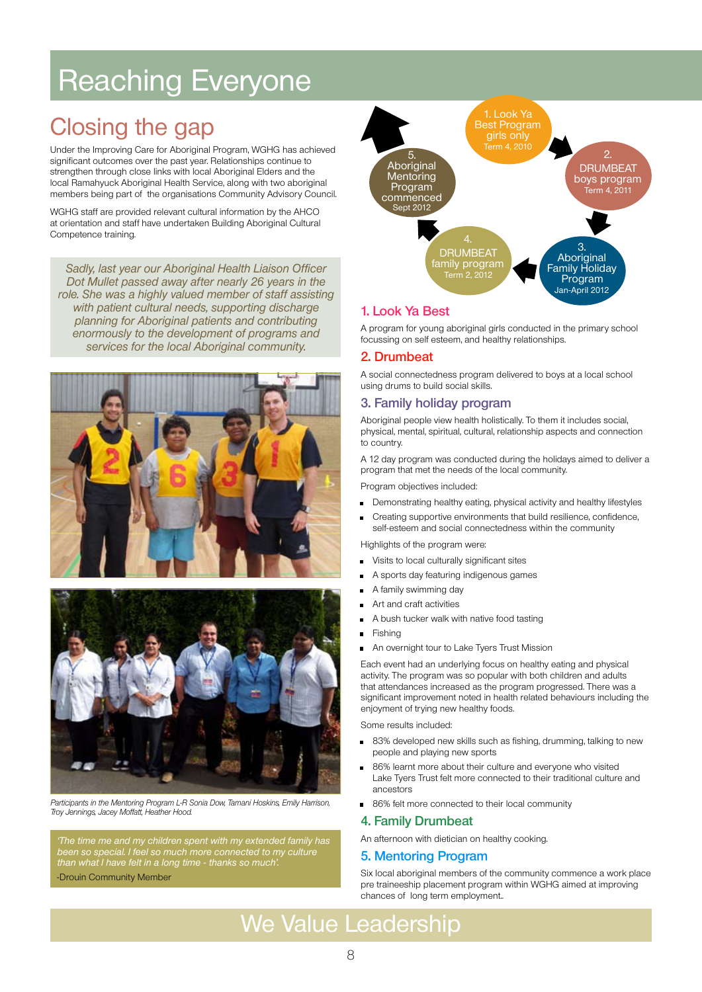# Reaching Everyone

## Closing the gap

Under the Improving Care for Aboriginal Program, WGHG has achieved significant outcomes over the past year. Relationships continue to strengthen through close links with local Aboriginal Elders and the local Ramahyuck Aboriginal Health Service, along with two aboriginal members being part of the organisations Community Advisory Council.

WGHG staff are provided relevant cultural information by the AHCO at orientation and staff have undertaken Building Aboriginal Cultural Competence training.

Sadly, last year our Aboriginal Health Liaison Officer Dot Mullet passed away after nearly 26 years in the role. She was a highly valued member of staff assisting with patient cultural needs, supporting discharge planning for Aboriginal patients and contributing enormously to the development of programs and services for the local Aboriginal community.





Participants in the Mentoring Program L-R Sonia Dow, Tamani Hoskins, Emily Harrison, Troy Jennings, Jacey Moffatt, Heather Hood.

'The time me and my children spent with my extended family has been so special. I feel so much more connected to my culture than what I have felt in a long time - thanks so much'.

-Drouin Community Member



#### **1. Look Ya Best**

A program for young aboriginal girls conducted in the primary school focussing on self esteem, and healthy relationships.

#### **2. Drumbeat**

A social connectedness program delivered to boys at a local school using drums to build social skills.

#### **3. Family holiday program**

Aboriginal people view health holistically. To them it includes social, physical, mental, spiritual, cultural, relationship aspects and connection to country.

A 12 day program was conducted during the holidays aimed to deliver a program that met the needs of the local community.

Program objectives included:

- Demonstrating healthy eating, physical activity and healthy lifestyles
- Creating supportive environments that build resilience, confidence, self-esteem and social connectedness within the community

Highlights of the program were:

- Visits to local culturally significant sites
- A sports day featuring indigenous games
- A family swimming day
- Art and craft activities
- A bush tucker walk with native food tasting
- **Fishing**
- An overnight tour to Lake Tyers Trust Mission

Each event had an underlying focus on healthy eating and physical activity. The program was so popular with both children and adults that attendances increased as the program progressed. There was a significant improvement noted in health related behaviours including the enjoyment of trying new healthy foods.

Some results included:

- 83% developed new skills such as fishing, drumming, talking to new people and playing new sports
- 86% learnt more about their culture and everyone who visited Lake Tyers Trust felt more connected to their traditional culture and ancestors
- 86% felt more connected to their local community

#### **4. Family Drumbeat**

An afternoon with dietician on healthy cooking.

#### **5. Mentoring Program**

Six local aboriginal members of the community commence a work place pre traineeship placement program within WGHG aimed at improving chances of long term employment..

## We Value Leadership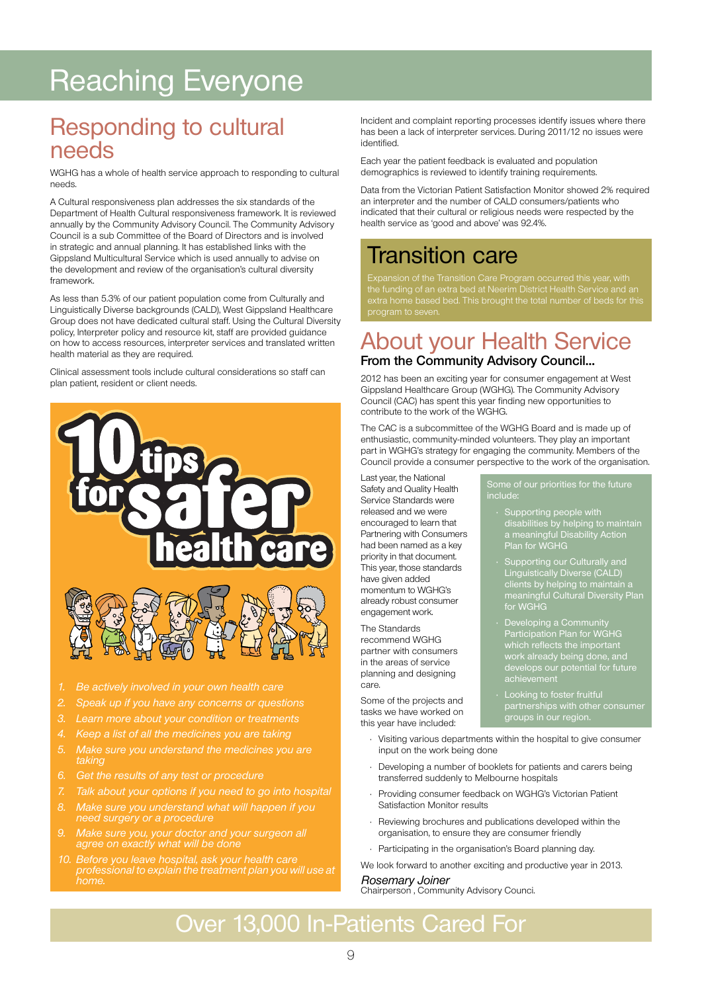# Reaching Everyone

### Responding to cultural needs

WGHG has a whole of health service approach to responding to cultural needs.

A Cultural responsiveness plan addresses the six standards of the Department of Health Cultural responsiveness framework. It is reviewed annually by the Community Advisory Council. The Community Advisory Council is a sub Committee of the Board of Directors and is involved in strategic and annual planning. It has established links with the Gippsland Multicultural Service which is used annually to advise on the development and review of the organisation's cultural diversity framework.

As less than 5.3% of our patient population come from Culturally and Linguistically Diverse backgrounds (CALD), West Gippsland Healthcare Group does not have dedicated cultural staff. Using the Cultural Diversity policy, Interpreter policy and resource kit, staff are provided guidance on how to access resources, interpreter services and translated written health material as they are required.

Clinical assessment tools include cultural considerations so staff can plan patient, resident or client needs.



- 
- 
- 3. Learn more about your condition or treatments
- 4. Keep a list of all the medicines you are taking
- 5. Make sure you understand the medicines you are taking
- 
- Talk about your options if you need to go into hospital
- 8. Make sure you understand what will happen if you need surgery or a procedure
- 9. Make sure you, your doctor and your surgeon all agree on exactly what will be done
- 10. Before you leave hospital, ask your health care professional to explain the treatment plan you will use at

Incident and complaint reporting processes identify issues where there has been a lack of interpreter services. During 2011/12 no issues were identified.

Each year the patient feedback is evaluated and population demographics is reviewed to identify training requirements.

Data from the Victorian Patient Satisfaction Monitor showed 2% required an interpreter and the number of CALD consumers/patients who indicated that their cultural or religious needs were respected by the health service as 'good and above' was 92.4%.

### Transition care

the funding of an extra bed at Neerim District Health Service and an extra home based bed. This brought the total number of beds for this

## About your Health Service

#### **From the Community Advisory Council…**

2012 has been an exciting year for consumer engagement at West Gippsland Healthcare Group (WGHG). The Community Advisory Council (CAC) has spent this year finding new opportunities to contribute to the work of the WGHG.

The CAC is a subcommittee of the WGHG Board and is made up of enthusiastic, community-minded volunteers. They play an important part in WGHG's strategy for engaging the community. Members of the Council provide a consumer perspective to the work of the organisation.

Last year, the National Safety and Quality Health Service Standards were released and we were encouraged to learn that Partnering with Consumers had been named as a key priority in that document. This year, those standards have given added momentum to WGHG's already robust consumer engagement work.

The Standards recommend WGHG partner with consumers in the areas of service planning and designing care.

Some of the projects and tasks we have worked on this year have included:

- Supporting people with disabilities by helping to maintain a meaningful Disability Action Plan for WGHG
- Supporting our Culturally and Linguistically Diverse (CALD) clients by helping to maintain a meaningful Cultural Diversity Plan for WGHG
- Developing a Community Participation Plan for WGHG which reflects the important work already being done, and develops our potential for future achievement
- • Looking to foster fruitful groups in our region.
- Visiting various departments within the hospital to give consumer input on the work being done
- Developing a number of booklets for patients and carers being transferred suddenly to Melbourne hospitals
- Providing consumer feedback on WGHG's Victorian Patient Satisfaction Monitor results
- Reviewing brochures and publications developed within the organisation, to ensure they are consumer friendly
- Participating in the organisation's Board planning day.

We look forward to another exciting and productive year in 2013. Rosemary Joiner

Chairperson , Community Advisory Counci.

## Over 13,000 In-Patients Cared For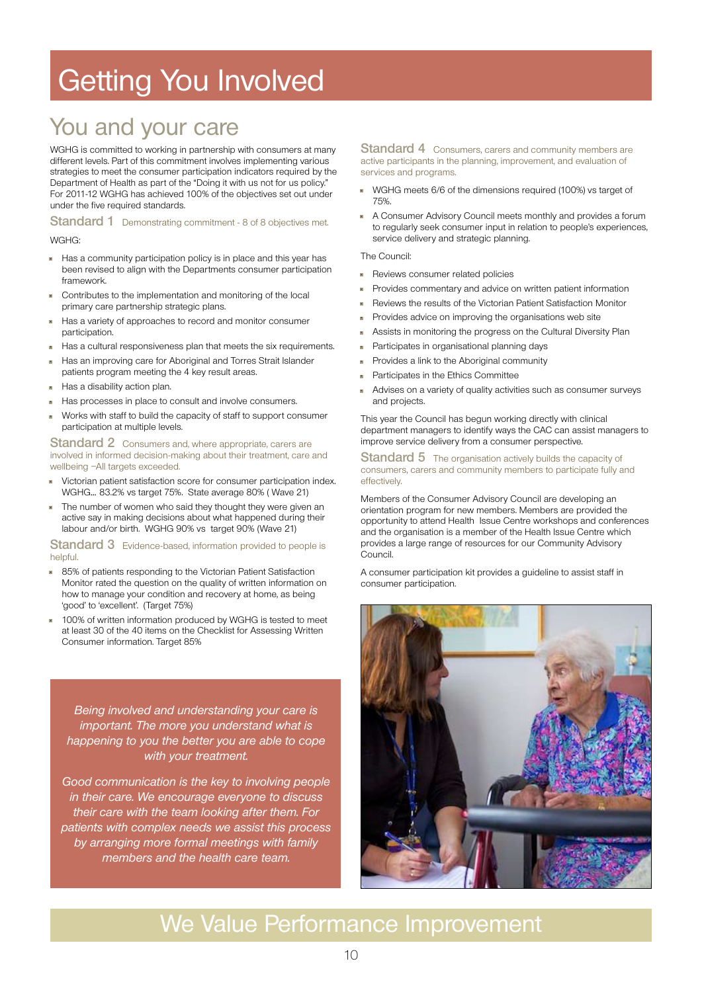# Getting You Involved

## You and your care

WGHG is committed to working in partnership with consumers at many different levels. Part of this commitment involves implementing various strategies to meet the consumer participation indicators required by the Department of Health as part of the "Doing it with us not for us policy." For 2011-12 WGHG has achieved 100% of the objectives set out under under the five required standards.

**Standard 1** Demonstrating commitment - 8 of 8 objectives met.

#### WGHG:

- Has a community participation policy is in place and this year has been revised to align with the Departments consumer participation framework
- Contributes to the implementation and monitoring of the local primary care partnership strategic plans.
- Has a variety of approaches to record and monitor consumer participation.
- Has a cultural responsiveness plan that meets the six requirements.
- Has an improving care for Aboriginal and Torres Strait Islander
- patients program meeting the 4 key result areas.
- Has a disability action plan.
- Has processes in place to consult and involve consumers.
- Works with staff to build the capacity of staff to support consumer participation at multiple levels.

**Standard 2** Consumers and, where appropriate, carers are involved in informed decision-making about their treatment, care and wellbeing –All targets exceeded.

- Victorian patient satisfaction score for consumer participation index. WGHG… 83.2% vs target 75%. State average 80% ( Wave 21)
- The number of women who said they thought they were given an active say in making decisions about what happened during their labour and/or birth. WGHG 90% vs target 90% (Wave 21)

#### **Standard 3** Evidence-based, information provided to people is helpful.

- 85% of patients responding to the Victorian Patient Satisfaction Monitor rated the question on the quality of written information on how to manage your condition and recovery at home, as being 'good' to 'excellent'. (Target 75%)
- 100% of written information produced by WGHG is tested to meet at least 30 of the 40 items on the Checklist for Assessing Written Consumer information. Target 85%

Being involved and understanding your care is important. The more you understand what is happening to you the better you are able to cope with your treatment.

Good communication is the key to involving people in their care. We encourage everyone to discuss their care with the team looking after them. For patients with complex needs we assist this process by arranging more formal meetings with family members and the health care team.

**Standard 4** Consumers, carers and community members are active participants in the planning, improvement, and evaluation of services and programs.

- WGHG meets 6/6 of the dimensions required (100%) vs target of 75%.
- A Consumer Advisory Council meets monthly and provides a forum to regularly seek consumer input in relation to people's experiences, service delivery and strategic planning.

#### The Council:

- **Reviews consumer related policies**
- Provides commentary and advice on written patient information
- Reviews the results of the Victorian Patient Satisfaction Monitor
- Provides advice on improving the organisations web site
- Assists in monitoring the progress on the Cultural Diversity Plan
- Participates in organisational planning days
- Provides a link to the Aboriginal community
- Participates in the Ethics Committee
- Advises on a variety of quality activities such as consumer surveys and projects.

This year the Council has begun working directly with clinical department managers to identify ways the CAC can assist managers to improve service delivery from a consumer perspective.

#### **Standard 5** The organisation actively builds the capacity of consumers, carers and community members to participate fully and effectively.

Members of the Consumer Advisory Council are developing an orientation program for new members. Members are provided the opportunity to attend Health Issue Centre workshops and conferences and the organisation is a member of the Health Issue Centre which provides a large range of resources for our Community Advisory Council.

A consumer participation kit provides a guideline to assist staff in consumer participation.



## We Value Performance Improvement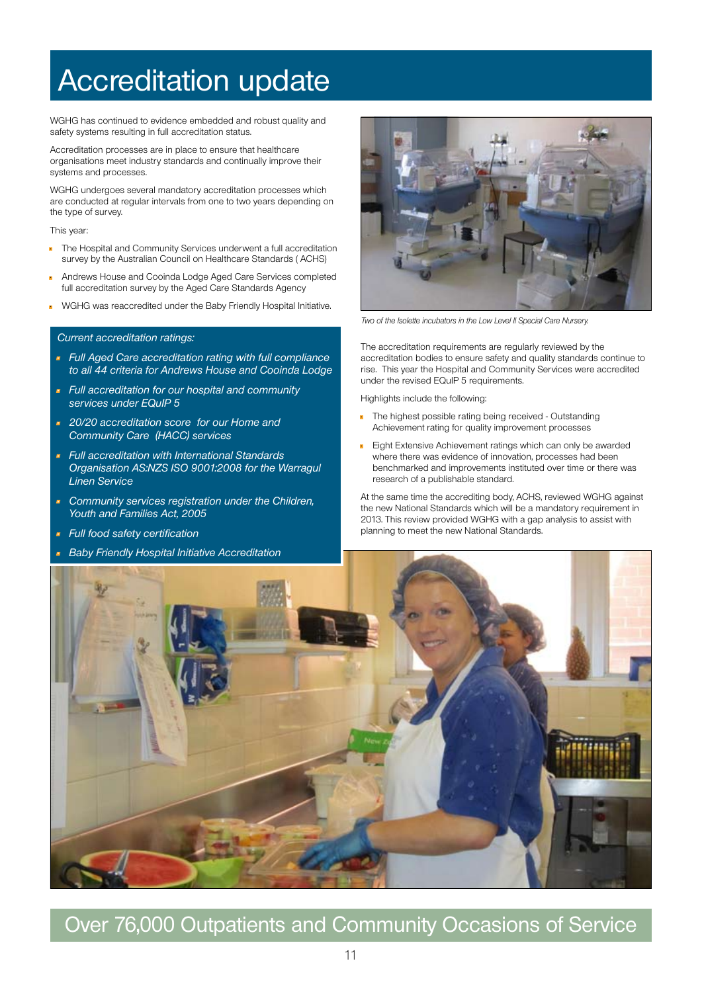# Accreditation update

WGHG has continued to evidence embedded and robust quality and safety systems resulting in full accreditation status.

Accreditation processes are in place to ensure that healthcare organisations meet industry standards and continually improve their systems and processes.

WGHG undergoes several mandatory accreditation processes which are conducted at regular intervals from one to two years depending on the type of survey.

This year:

- The Hospital and Community Services underwent a full accreditation survey by the Australian Council on Healthcare Standards ( ACHS)
- Andrews House and Cooinda Lodge Aged Care Services completed full accreditation survey by the Aged Care Standards Agency
- WGHG was reaccredited under the Baby Friendly Hospital Initiative.

#### Current accreditation ratings:

- Full Aged Care accreditation rating with full compliance to all 44 criteria for Andrews House and Cooinda Lodge
- Full accreditation for our hospital and community services under EQuIP 5
- 20/20 accreditation score for our Home and Community Care (HACC) services
- Full accreditation with International Standards Organisation AS:NZS ISO 9001:2008 for the Warragul Linen Service
- **Community services registration under the Children,** Youth and Families Act, 2005
- Full food safety certification
- Baby Friendly Hospital Initiative Accreditation



Two of the Isolette incubators in the Low Level II Special Care Nursery.

The accreditation requirements are regularly reviewed by the accreditation bodies to ensure safety and quality standards continue to rise. This year the Hospital and Community Services were accredited under the revised EQuIP 5 requirements.

Highlights include the following:

- The highest possible rating being received Outstanding Achievement rating for quality improvement processes
- Eight Extensive Achievement ratings which can only be awarded where there was evidence of innovation, processes had been benchmarked and improvements instituted over time or there was research of a publishable standard.

At the same time the accrediting body, ACHS, reviewed WGHG against the new National Standards which will be a mandatory requirement in 2013. This review provided WGHG with a gap analysis to assist with planning to meet the new National Standards.



### Over 76,000 Outpatients and Community Occasions of Service